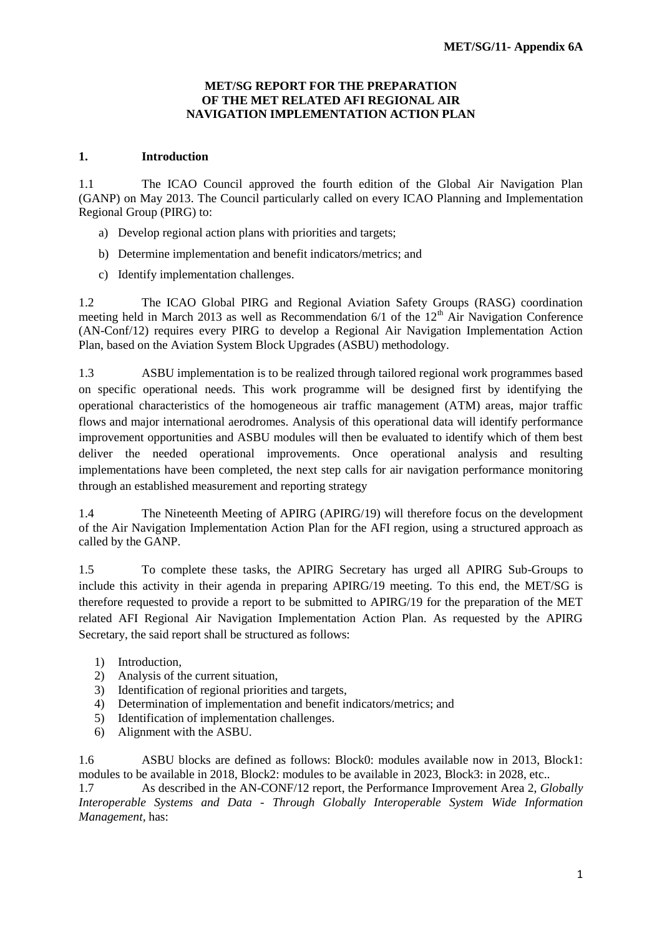### **MET/SG REPORT FOR THE PREPARATION OF THE MET RELATED AFI REGIONAL AIR NAVIGATION IMPLEMENTATION ACTION PLAN**

### **1. Introduction**

1.1 The ICAO Council approved the fourth edition of the Global Air Navigation Plan (GANP) on May 2013. The Council particularly called on every ICAO Planning and Implementation Regional Group (PIRG) to:

- a) Develop regional action plans with priorities and targets;
- b) Determine implementation and benefit indicators/metrics; and
- c) Identify implementation challenges.

1.2 The ICAO Global PIRG and Regional Aviation Safety Groups (RASG) coordination meeting held in March 2013 as well as Recommendation  $6/1$  of the  $12<sup>th</sup>$  Air Navigation Conference (AN-Conf/12) requires every PIRG to develop a Regional Air Navigation Implementation Action Plan, based on the Aviation System Block Upgrades (ASBU) methodology.

1.3 ASBU implementation is to be realized through tailored regional work programmes based on specific operational needs. This work programme will be designed first by identifying the operational characteristics of the homogeneous air traffic management (ATM) areas, major traffic flows and major international aerodromes. Analysis of this operational data will identify performance improvement opportunities and ASBU modules will then be evaluated to identify which of them best deliver the needed operational improvements. Once operational analysis and resulting implementations have been completed, the next step calls for air navigation performance monitoring through an established measurement and reporting strategy

1.4 The Nineteenth Meeting of APIRG (APIRG/19) will therefore focus on the development of the Air Navigation Implementation Action Plan for the AFI region, using a structured approach as called by the GANP.

1.5 To complete these tasks, the APIRG Secretary has urged all APIRG Sub-Groups to include this activity in their agenda in preparing APIRG/19 meeting. To this end, the MET/SG is therefore requested to provide a report to be submitted to APIRG/19 for the preparation of the MET related AFI Regional Air Navigation Implementation Action Plan. As requested by the APIRG Secretary, the said report shall be structured as follows:

- 1) Introduction,
- 2) Analysis of the current situation,
- 3) Identification of regional priorities and targets,
- 4) Determination of implementation and benefit indicators/metrics; and
- 5) Identification of implementation challenges.
- 6) Alignment with the ASBU.

1.6 ASBU blocks are defined as follows: Block0: modules available now in 2013, Block1: modules to be available in 2018, Block2: modules to be available in 2023, Block3: in 2028, etc..

1.7 As described in the AN-CONF/12 report, the Performance Improvement Area 2, *Globally Interoperable Systems and Data - Through Globally Interoperable System Wide Information Management,* has: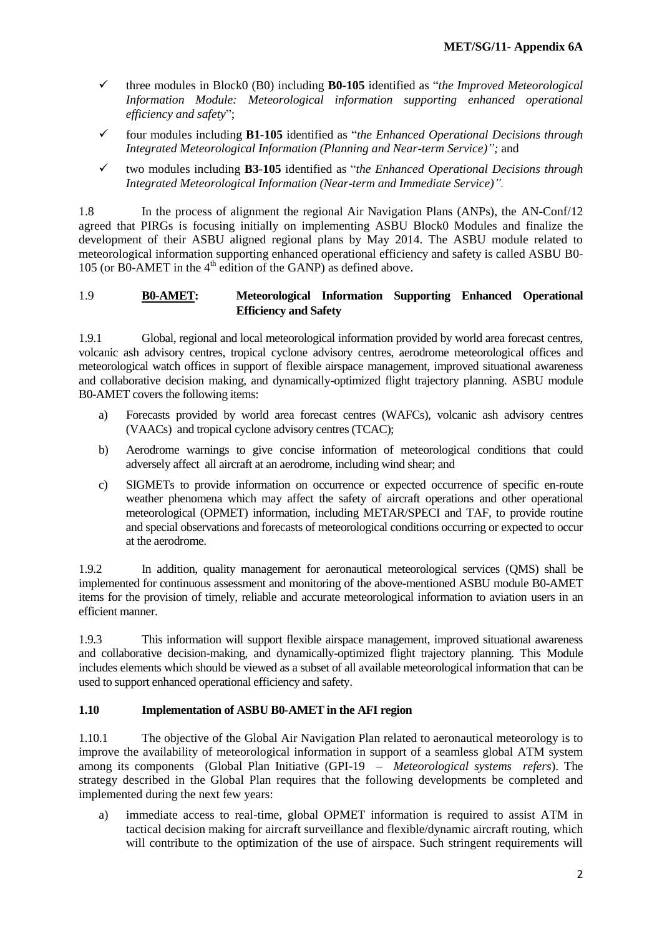- three modules in Block0 (B0) including **B0-105** identified as "*the Improved Meteorological Information Module: Meteorological information supporting enhanced operational efficiency and safety*";
- four modules including **B1-105** identified as "*the Enhanced Operational Decisions through Integrated Meteorological Information (Planning and Near-term Service)";* and
- two modules including **B3-105** identified as "*the Enhanced Operational Decisions through Integrated Meteorological Information (Near-term and Immediate Service)".*

1.8 In the process of alignment the regional Air Navigation Plans (ANPs), the AN-Conf/12 agreed that PIRGs is focusing initially on implementing ASBU Block0 Modules and finalize the development of their ASBU aligned regional plans by May 2014. The ASBU module related to meteorological information supporting enhanced operational efficiency and safety is called ASBU B0- 105 (or B0-AMET in the  $4<sup>th</sup>$  edition of the GANP) as defined above.

### 1.9 **B0-AMET: Meteorological Information Supporting Enhanced Operational Efficiency and Safety**

1.9.1 Global, regional and local meteorological information provided by world area forecast centres, volcanic ash advisory centres, tropical cyclone advisory centres, aerodrome meteorological offices and meteorological watch offices in support of flexible airspace management, improved situational awareness and collaborative decision making, and dynamically-optimized flight trajectory planning. ASBU module B0-AMET covers the following items:

- a) Forecasts provided by world area forecast centres (WAFCs), volcanic ash advisory centres (VAACs) and tropical cyclone advisory centres (TCAC);
- b) Aerodrome warnings to give concise information of meteorological conditions that could adversely affect all aircraft at an aerodrome, including wind shear; and
- c) SIGMETs to provide information on occurrence or expected occurrence of specific en-route weather phenomena which may affect the safety of aircraft operations and other operational meteorological (OPMET) information, including METAR/SPECI and TAF, to provide routine and special observations and forecasts of meteorological conditions occurring or expected to occur at the aerodrome.

1.9.2 In addition, quality management for aeronautical meteorological services (QMS) shall be implemented for continuous assessment and monitoring of the above-mentioned ASBU module B0-AMET items for the provision of timely, reliable and accurate meteorological information to aviation users in an efficient manner.

1.9.3 This information will support flexible airspace management, improved situational awareness and collaborative decision-making, and dynamically-optimized flight trajectory planning. This Module includes elements which should be viewed as a subset of all available meteorological information that can be used to support enhanced operational efficiency and safety.

# **1.10 Implementation of ASBU B0-AMET in the AFI region**

1.10.1 The objective of the Global Air Navigation Plan related to aeronautical meteorology is to improve the availability of meteorological information in support of a seamless global ATM system among its components (Global Plan Initiative (GPI-19 – *Meteorological systems refers*). The strategy described in the Global Plan requires that the following developments be completed and implemented during the next few years:

a) immediate access to real-time, global OPMET information is required to assist ATM in tactical decision making for aircraft surveillance and flexible/dynamic aircraft routing, which will contribute to the optimization of the use of airspace. Such stringent requirements will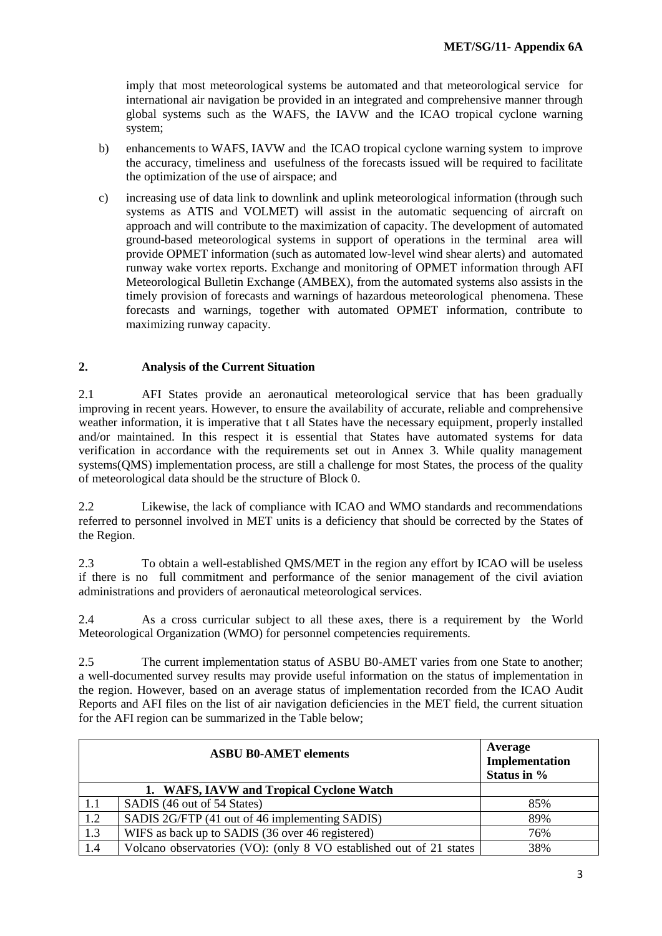imply that most meteorological systems be automated and that meteorological service for international air navigation be provided in an integrated and comprehensive manner through global systems such as the WAFS, the IAVW and the ICAO tropical cyclone warning system;

- b) enhancements to WAFS, IAVW and the ICAO tropical cyclone warning system to improve the accuracy, timeliness and usefulness of the forecasts issued will be required to facilitate the optimization of the use of airspace; and
- c) increasing use of data link to downlink and uplink meteorological information (through such systems as ATIS and VOLMET) will assist in the automatic sequencing of aircraft on approach and will contribute to the maximization of capacity. The development of automated ground-based meteorological systems in support of operations in the terminal area will provide OPMET information (such as automated low-level wind shear alerts) and automated runway wake vortex reports. Exchange and monitoring of OPMET information through AFI Meteorological Bulletin Exchange (AMBEX), from the automated systems also assists in the timely provision of forecasts and warnings of hazardous meteorological phenomena. These forecasts and warnings, together with automated OPMET information, contribute to maximizing runway capacity.

# **2. Analysis of the Current Situation**

2.1 AFI States provide an aeronautical meteorological service that has been gradually improving in recent years. However, to ensure the availability of accurate, reliable and comprehensive weather information, it is imperative that t all States have the necessary equipment, properly installed and/or maintained. In this respect it is essential that States have automated systems for data verification in accordance with the requirements set out in Annex 3. While quality management systems(QMS) implementation process, are still a challenge for most States, the process of the quality of meteorological data should be the structure of Block 0.

2.2 Likewise, the lack of compliance with ICAO and WMO standards and recommendations referred to personnel involved in MET units is a deficiency that should be corrected by the States of the Region.

2.3 To obtain a well-established QMS/MET in the region any effort by ICAO will be useless if there is no full commitment and performance of the senior management of the civil aviation administrations and providers of aeronautical meteorological services.

2.4 As a cross curricular subject to all these axes, there is a requirement by the World Meteorological Organization (WMO) for personnel competencies requirements.

2.5 The current implementation status of ASBU B0-AMET varies from one State to another; a well-documented survey results may provide useful information on the status of implementation in the region. However, based on an average status of implementation recorded from the ICAO Audit Reports and AFI files on the list of air navigation deficiencies in the MET field, the current situation for the AFI region can be summarized in the Table below;

| <b>ASBU B0-AMET elements</b> |                                                                     | Average<br>Implementation<br>Status in % |
|------------------------------|---------------------------------------------------------------------|------------------------------------------|
|                              | 1. WAFS, IAVW and Tropical Cyclone Watch                            |                                          |
| 1.1                          | SADIS (46 out of 54 States)                                         | 85%                                      |
| 1.2                          | SADIS 2G/FTP (41 out of 46 implementing SADIS)                      | 89%                                      |
| 1.3                          | WIFS as back up to SADIS (36 over 46 registered)                    | 76%                                      |
| 1.4                          | Volcano observatories (VO): (only 8 VO established out of 21 states | 38%                                      |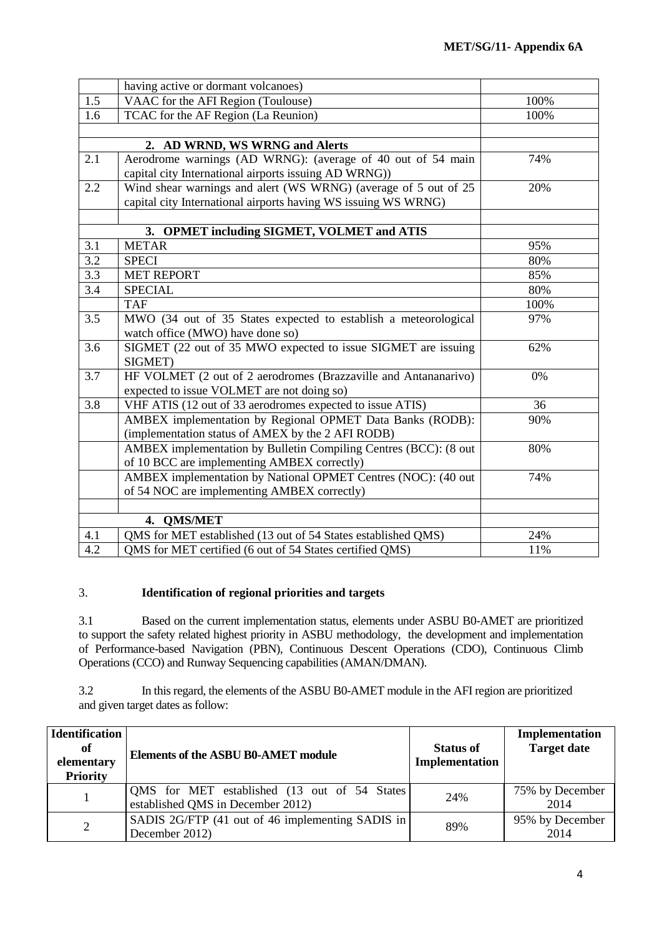|                  | having active or dormant volcanoes)                                                                                               |      |
|------------------|-----------------------------------------------------------------------------------------------------------------------------------|------|
| 1.5              | VAAC for the AFI Region (Toulouse)                                                                                                | 100% |
| 1.6              | TCAC for the AF Region (La Reunion)                                                                                               | 100% |
|                  |                                                                                                                                   |      |
|                  | 2. AD WRND, WS WRNG and Alerts                                                                                                    |      |
| 2.1              | Aerodrome warnings (AD WRNG): (average of 40 out of 54 main<br>capital city International airports issuing AD WRNG))              | 74%  |
| 2.2              | Wind shear warnings and alert (WS WRNG) (average of 5 out of 25<br>capital city International airports having WS issuing WS WRNG) | 20%  |
|                  |                                                                                                                                   |      |
|                  | 3. OPMET including SIGMET, VOLMET and ATIS                                                                                        |      |
| 3.1              | <b>METAR</b>                                                                                                                      | 95%  |
| 3.2              | <b>SPECI</b>                                                                                                                      | 80%  |
| $\overline{3.3}$ | <b>MET REPORT</b>                                                                                                                 | 85%  |
| 3.4              | <b>SPECIAL</b>                                                                                                                    | 80%  |
|                  | <b>TAF</b>                                                                                                                        | 100% |
| 3.5              | MWO (34 out of 35 States expected to establish a meteorological<br>watch office (MWO) have done so)                               | 97%  |
| 3.6              | SIGMET (22 out of 35 MWO expected to issue SIGMET are issuing<br>SIGMET)                                                          | 62%  |
| 3.7              | HF VOLMET (2 out of 2 aerodromes (Brazzaville and Antananarivo)<br>expected to issue VOLMET are not doing so)                     | 0%   |
| 3.8              | VHF ATIS (12 out of 33 aerodromes expected to issue ATIS)                                                                         | 36   |
|                  | AMBEX implementation by Regional OPMET Data Banks (RODB):<br>(implementation status of AMEX by the 2 AFI RODB)                    | 90%  |
|                  | AMBEX implementation by Bulletin Compiling Centres (BCC): (8 out<br>of 10 BCC are implementing AMBEX correctly)                   | 80%  |
|                  | AMBEX implementation by National OPMET Centres (NOC): (40 out<br>of 54 NOC are implementing AMBEX correctly)                      | 74%  |
|                  |                                                                                                                                   |      |
|                  | 4. QMS/MET                                                                                                                        |      |
| 4.1              | QMS for MET established (13 out of 54 States established QMS)                                                                     | 24%  |
| 4.2              | QMS for MET certified (6 out of 54 States certified QMS)                                                                          | 11%  |

# 3. **Identification of regional priorities and targets**

3.1 Based on the current implementation status, elements under ASBU B0-AMET are prioritized to support the safety related highest priority in ASBU methodology, the development and implementation of Performance-based Navigation (PBN), Continuous Descent Operations (CDO), Continuous Climb Operations (CCO) and Runway Sequencing capabilities (AMAN/DMAN).

3.2 In this regard, the elements of the ASBU B0-AMET module in the AFI region are prioritized and given target dates as follow:

| <b>Identification</b><br>of<br>elementary<br><b>Priority</b> | <b>Elements of the ASBU B0-AMET module</b>                                         | <b>Status of</b><br>Implementation | Implementation<br><b>Target date</b> |
|--------------------------------------------------------------|------------------------------------------------------------------------------------|------------------------------------|--------------------------------------|
|                                                              | QMS for MET established (13 out of 54 States)<br>established QMS in December 2012) | 24%                                | 75% by December<br>2014              |
| $\overline{2}$                                               | SADIS 2G/FTP (41 out of 46 implementing SADIS in<br>December 2012)                 | 89%                                | 95% by December<br>2014              |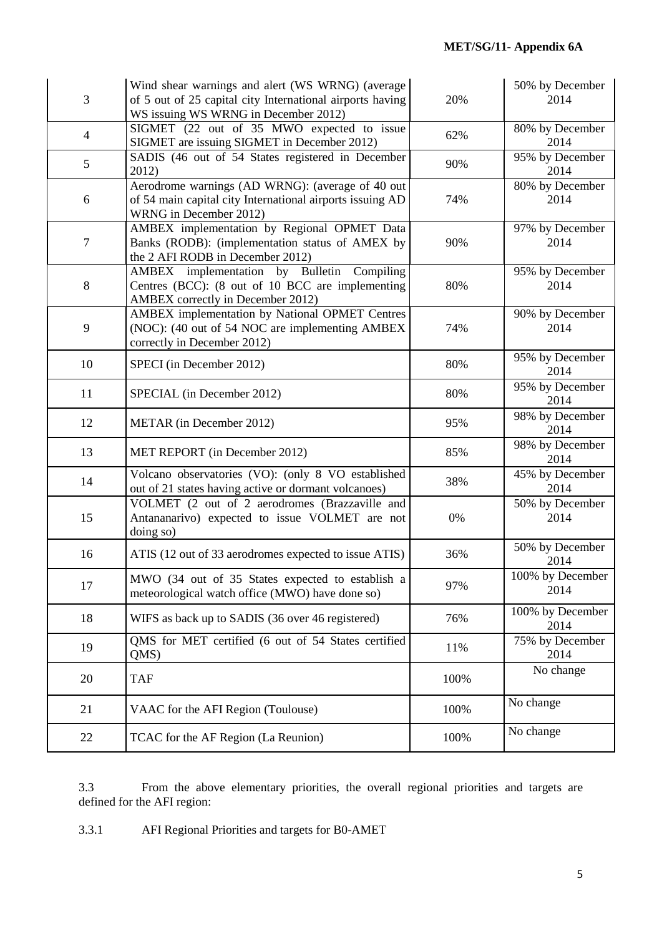| 3              | Wind shear warnings and alert (WS WRNG) (average<br>of 5 out of 25 capital city International airports having<br>WS issuing WS WRNG in December 2012) | 20%  | 50% by December<br>2014     |
|----------------|-------------------------------------------------------------------------------------------------------------------------------------------------------|------|-----------------------------|
| $\overline{4}$ | SIGMET (22 out of 35 MWO expected to issue<br>SIGMET are issuing SIGMET in December 2012)                                                             | 62%  | 80% by December<br>2014     |
| 5              | SADIS (46 out of 54 States registered in December<br>2012)                                                                                            | 90%  | 95% by December<br>2014     |
| 6              | Aerodrome warnings (AD WRNG): (average of 40 out<br>of 54 main capital city International airports issuing AD<br>WRNG in December 2012)               | 74%  | 80% by December<br>2014     |
| 7              | AMBEX implementation by Regional OPMET Data<br>Banks (RODB): (implementation status of AMEX by<br>the 2 AFI RODB in December 2012)                    | 90%  | 97% by December<br>2014     |
| 8              | AMBEX implementation by Bulletin Compiling<br>Centres (BCC): (8 out of 10 BCC are implementing<br>AMBEX correctly in December 2012)                   | 80%  | 95% by December<br>2014     |
| 9              | AMBEX implementation by National OPMET Centres<br>(NOC): (40 out of 54 NOC are implementing AMBEX<br>correctly in December 2012)                      | 74%  | 90% by December<br>2014     |
| 10             | SPECI (in December 2012)                                                                                                                              | 80%  | 95% by December<br>2014     |
| 11             | SPECIAL (in December 2012)                                                                                                                            | 80%  | 95% by December<br>2014     |
| 12             | METAR (in December 2012)                                                                                                                              | 95%  | 98% by December<br>2014     |
| 13             | MET REPORT (in December 2012)                                                                                                                         | 85%  | 98% by December<br>2014     |
| 14             | Volcano observatories (VO): (only 8 VO established<br>out of 21 states having active or dormant volcanoes)                                            | 38%  | 45% by December<br>2014     |
| 15             | VOLMET (2 out of 2 aerodromes (Brazzaville and<br>Antananarivo) expected to issue VOLMET are not<br>doing so)                                         | 0%   | 50% by December<br>2014     |
| 16             | ATIS (12 out of 33 aerodromes expected to issue ATIS)                                                                                                 | 36%  | 50% by December<br>2014     |
| 17             | MWO (34 out of 35 States expected to establish a<br>meteorological watch office (MWO) have done so)                                                   | 97%  | $100\%$ by December<br>2014 |
| 18             | WIFS as back up to SADIS (36 over 46 registered)                                                                                                      | 76%  | 100% by December<br>2014    |
| 19             | QMS for MET certified (6 out of 54 States certified<br>QMS)                                                                                           | 11%  | 75% by December<br>2014     |
| 20             | <b>TAF</b>                                                                                                                                            | 100% | No change                   |
| 21             | VAAC for the AFI Region (Toulouse)                                                                                                                    | 100% | No change                   |
| 22             | TCAC for the AF Region (La Reunion)                                                                                                                   | 100% | No change                   |

3.3 From the above elementary priorities, the overall regional priorities and targets are defined for the AFI region:

3.3.1 AFI Regional Priorities and targets for B0-AMET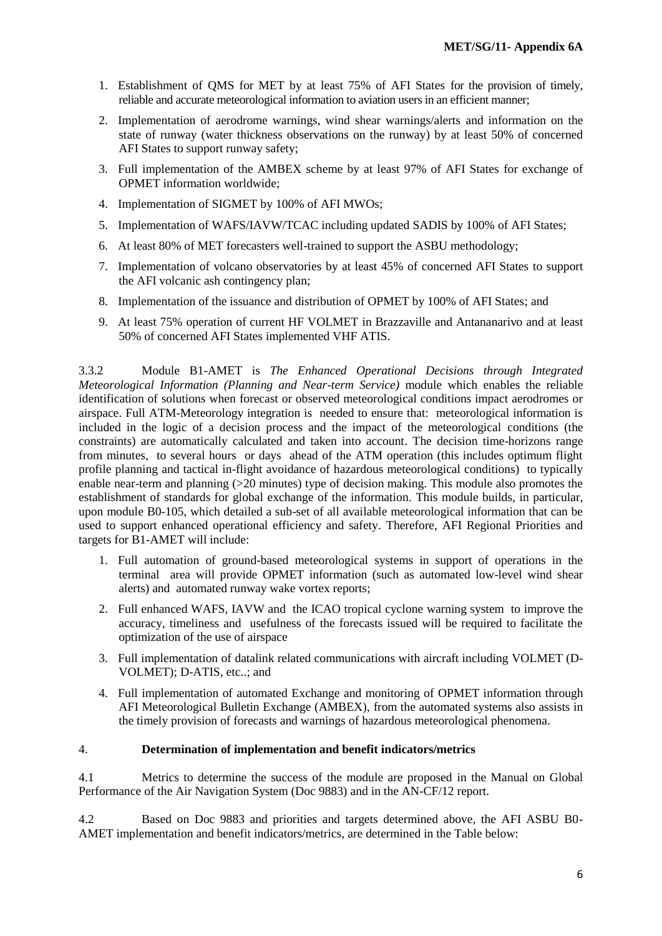- 1. Establishment of QMS for MET by at least 75% of AFI States for the provision of timely, reliable and accurate meteorological information to aviation users in an efficient manner;
- 2. Implementation of aerodrome warnings, wind shear warnings/alerts and information on the state of runway (water thickness observations on the runway) by at least 50% of concerned AFI States to support runway safety;
- 3. Full implementation of the AMBEX scheme by at least 97% of AFI States for exchange of OPMET information worldwide;
- 4. Implementation of SIGMET by 100% of AFI MWOs;
- 5. Implementation of WAFS/IAVW/TCAC including updated SADIS by 100% of AFI States;
- 6. At least 80% of MET forecasters well-trained to support the ASBU methodology;
- 7. Implementation of volcano observatories by at least 45% of concerned AFI States to support the AFI volcanic ash contingency plan;
- 8. Implementation of the issuance and distribution of OPMET by 100% of AFI States; and
- 9. At least 75% operation of current HF VOLMET in Brazzaville and Antananarivo and at least 50% of concerned AFI States implemented VHF ATIS.

3.3.2 Module B1-AMET is *The Enhanced Operational Decisions through Integrated Meteorological Information (Planning and Near-term Service)* module which enables the reliable identification of solutions when forecast or observed meteorological conditions impact aerodromes or airspace. Full ATM-Meteorology integration is needed to ensure that: meteorological information is included in the logic of a decision process and the impact of the meteorological conditions (the constraints) are automatically calculated and taken into account. The decision time-horizons range from minutes, to several hours or days ahead of the ATM operation (this includes optimum flight profile planning and tactical in-flight avoidance of hazardous meteorological conditions) to typically enable near-term and planning  $(>=20 \text{ minutes})$  type of decision making. This module also promotes the establishment of standards for global exchange of the information. This module builds, in particular, upon module B0-105, which detailed a sub-set of all available meteorological information that can be used to support enhanced operational efficiency and safety. Therefore, AFI Regional Priorities and targets for B1-AMET will include:

- 1. Full automation of ground-based meteorological systems in support of operations in the terminal area will provide OPMET information (such as automated low-level wind shear alerts) and automated runway wake vortex reports;
- 2. Full enhanced WAFS, IAVW and the ICAO tropical cyclone warning system to improve the accuracy, timeliness and usefulness of the forecasts issued will be required to facilitate the optimization of the use of airspace
- 3. Full implementation of datalink related communications with aircraft including VOLMET (D-VOLMET); D-ATIS, etc..; and
- 4. Full implementation of automated Exchange and monitoring of OPMET information through AFI Meteorological Bulletin Exchange (AMBEX), from the automated systems also assists in the timely provision of forecasts and warnings of hazardous meteorological phenomena.

#### 4. **Determination of implementation and benefit indicators/metrics**

4.1 Metrics to determine the success of the module are proposed in the Manual on Global Performance of the Air Navigation System (Doc 9883) and in the AN-CF/12 report.

4.2 Based on Doc 9883 and priorities and targets determined above, the AFI ASBU B0- AMET implementation and benefit indicators/metrics, are determined in the Table below: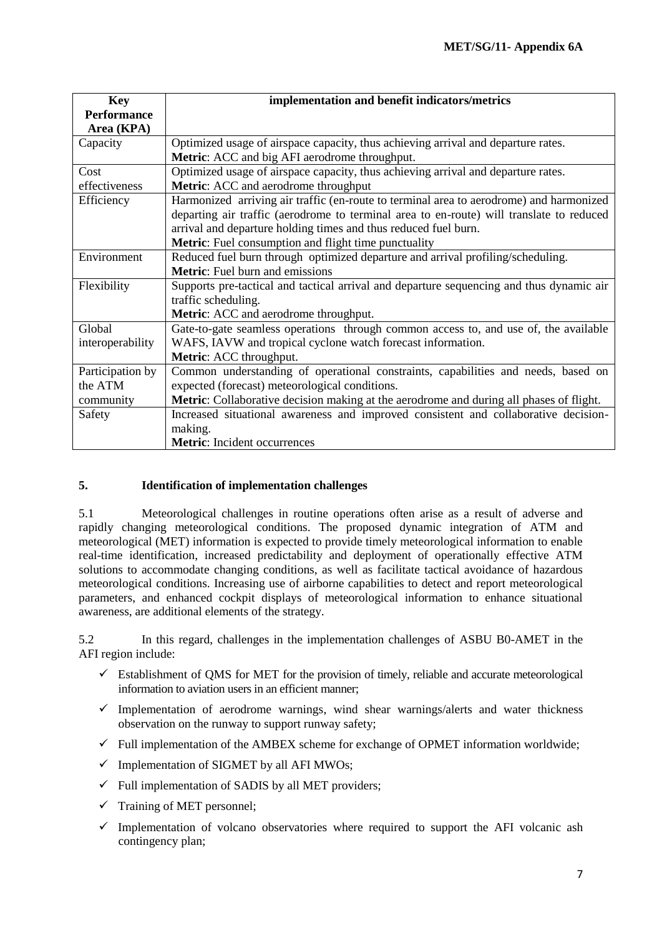| <b>Key</b>         | implementation and benefit indicators/metrics                                            |
|--------------------|------------------------------------------------------------------------------------------|
| <b>Performance</b> |                                                                                          |
| Area (KPA)         |                                                                                          |
| Capacity           | Optimized usage of airspace capacity, thus achieving arrival and departure rates.        |
|                    | Metric: ACC and big AFI aerodrome throughput.                                            |
| Cost               | Optimized usage of airspace capacity, thus achieving arrival and departure rates.        |
| effectiveness      | Metric: ACC and aerodrome throughput                                                     |
| Efficiency         | Harmonized arriving air traffic (en-route to terminal area to aerodrome) and harmonized  |
|                    | departing air traffic (aerodrome to terminal area to en-route) will translate to reduced |
|                    | arrival and departure holding times and thus reduced fuel burn.                          |
|                    | Metric: Fuel consumption and flight time punctuality                                     |
| Environment        | Reduced fuel burn through optimized departure and arrival profiling/scheduling.          |
|                    | <b>Metric:</b> Fuel burn and emissions                                                   |
| Flexibility        | Supports pre-tactical and tactical arrival and departure sequencing and thus dynamic air |
|                    | traffic scheduling.                                                                      |
|                    | Metric: ACC and aerodrome throughput.                                                    |
| Global             | Gate-to-gate seamless operations through common access to, and use of, the available     |
| interoperability   | WAFS, IAVW and tropical cyclone watch forecast information.                              |
|                    | Metric: ACC throughput.                                                                  |
| Participation by   | Common understanding of operational constraints, capabilities and needs, based on        |
| the ATM            | expected (forecast) meteorological conditions.                                           |
| community          | Metric: Collaborative decision making at the aerodrome and during all phases of flight.  |
| Safety             | Increased situational awareness and improved consistent and collaborative decision-      |
|                    | making.                                                                                  |
|                    | <b>Metric:</b> Incident occurrences                                                      |

# **5. Identification of implementation challenges**

5.1 Meteorological challenges in routine operations often arise as a result of adverse and rapidly changing meteorological conditions. The proposed dynamic integration of ATM and meteorological (MET) information is expected to provide timely meteorological information to enable real-time identification, increased predictability and deployment of operationally effective ATM solutions to accommodate changing conditions, as well as facilitate tactical avoidance of hazardous meteorological conditions. Increasing use of airborne capabilities to detect and report meteorological parameters, and enhanced cockpit displays of meteorological information to enhance situational awareness, are additional elements of the strategy.

5.2 In this regard, challenges in the implementation challenges of ASBU B0-AMET in the AFI region include:

- $\checkmark$  Establishment of QMS for MET for the provision of timely, reliable and accurate meteorological information to aviation users in an efficient manner;
- $\checkmark$  Implementation of aerodrome warnings, wind shear warnings/alerts and water thickness observation on the runway to support runway safety;
- $\checkmark$  Full implementation of the AMBEX scheme for exchange of OPMET information worldwide;
- $\checkmark$  Implementation of SIGMET by all AFI MWOs;
- $\checkmark$  Full implementation of SADIS by all MET providers;
- $\checkmark$  Training of MET personnel;
- $\checkmark$  Implementation of volcano observatories where required to support the AFI volcanic ash contingency plan;